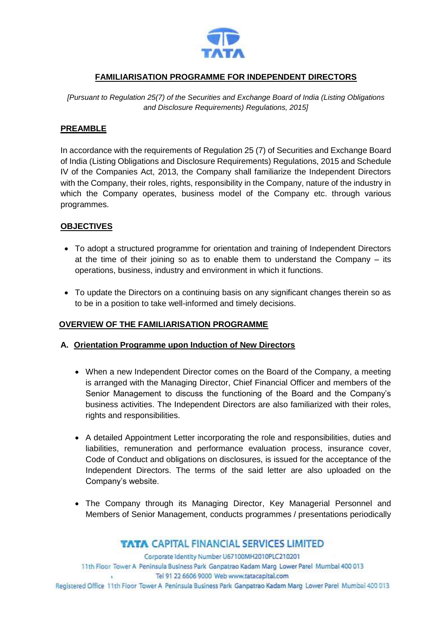

## **FAMILIARISATION PROGRAMME FOR INDEPENDENT DIRECTORS**

*[Pursuant to Regulation 25(7) of the Securities and Exchange Board of India (Listing Obligations and Disclosure Requirements) Regulations, 2015]*

### **PREAMBLE**

In accordance with the requirements of Regulation 25 (7) of Securities and Exchange Board of India (Listing Obligations and Disclosure Requirements) Regulations, 2015 and Schedule IV of the Companies Act, 2013, the Company shall familiarize the Independent Directors with the Company, their roles, rights, responsibility in the Company, nature of the industry in which the Company operates, business model of the Company etc. through various programmes.

#### **OBJECTIVES**

- To adopt a structured programme for orientation and training of Independent Directors at the time of their joining so as to enable them to understand the Company  $-$  its operations, business, industry and environment in which it functions.
- To update the Directors on a continuing basis on any significant changes therein so as to be in a position to take well-informed and timely decisions.

#### **OVERVIEW OF THE FAMILIARISATION PROGRAMME**

#### **A. Orientation Programme upon Induction of New Directors**

- When a new Independent Director comes on the Board of the Company, a meeting is arranged with the Managing Director, Chief Financial Officer and members of the Senior Management to discuss the functioning of the Board and the Company's business activities. The Independent Directors are also familiarized with their roles, rights and responsibilities.
- A detailed Appointment Letter incorporating the role and responsibilities, duties and liabilities, remuneration and performance evaluation process, insurance cover, Code of Conduct and obligations on disclosures, is issued for the acceptance of the Independent Directors. The terms of the said letter are also uploaded on the Company's website.
- The Company through its Managing Director, Key Managerial Personnel and Members of Senior Management, conducts programmes / presentations periodically

## **TATA CAPITAL FINANCIAL SERVICES LIMITED**

Corporate Identity Number U67100MH2010PLC210201 11th Floor Tower A Peninsula Business Park Ganpatrao Kadam Marg Lower Parel Mumbai 400 013 Tel 91 22 6606 9000 Web www.tatacapital.com Registered Office 11th Floor Tower A Peninsula Business Park Ganpatrao Kadam Marg Lower Parel Mumbai 400 013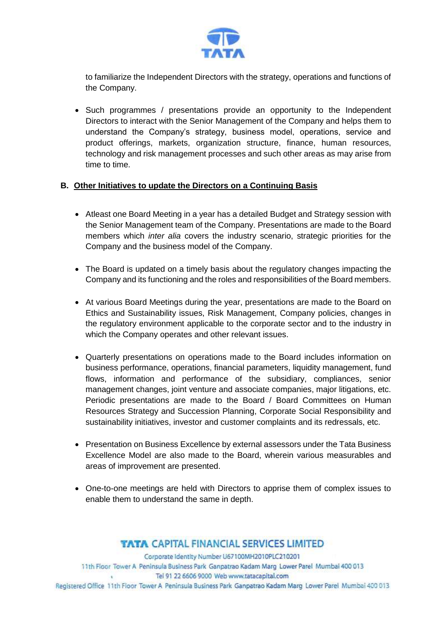

to familiarize the Independent Directors with the strategy, operations and functions of the Company.

• Such programmes / presentations provide an opportunity to the Independent Directors to interact with the Senior Management of the Company and helps them to understand the Company's strategy, business model, operations, service and product offerings, markets, organization structure, finance, human resources, technology and risk management processes and such other areas as may arise from time to time.

## **B. Other Initiatives to update the Directors on a Continuing Basis**

- Atleast one Board Meeting in a year has a detailed Budget and Strategy session with the Senior Management team of the Company. Presentations are made to the Board members which *inter alia* covers the industry scenario, strategic priorities for the Company and the business model of the Company.
- The Board is updated on a timely basis about the regulatory changes impacting the Company and its functioning and the roles and responsibilities of the Board members.
- At various Board Meetings during the year, presentations are made to the Board on Ethics and Sustainability issues, Risk Management, Company policies, changes in the regulatory environment applicable to the corporate sector and to the industry in which the Company operates and other relevant issues.
- Quarterly presentations on operations made to the Board includes information on business performance, operations, financial parameters, liquidity management, fund flows, information and performance of the subsidiary, compliances, senior management changes, joint venture and associate companies, major litigations, etc. Periodic presentations are made to the Board / Board Committees on Human Resources Strategy and Succession Planning, Corporate Social Responsibility and sustainability initiatives, investor and customer complaints and its redressals, etc.
- Presentation on Business Excellence by external assessors under the Tata Business Excellence Model are also made to the Board, wherein various measurables and areas of improvement are presented.
- One-to-one meetings are held with Directors to apprise them of complex issues to enable them to understand the same in depth.

## **TATA CAPITAL FINANCIAL SERVICES LIMITED**

Corporate Identity Number U67100MH2010PLC210201 11th Floor Tower A Peninsula Business Park Ganpatrao Kadam Marg Lower Parel Mumbai 400 013 Tel 91 22 6606 9000 Web www.tatacapital.com Registered Office 11th Floor Tower A Peninsula Business Park Ganpatrao Kadam Marg Lower Parel Mumbai 400 013